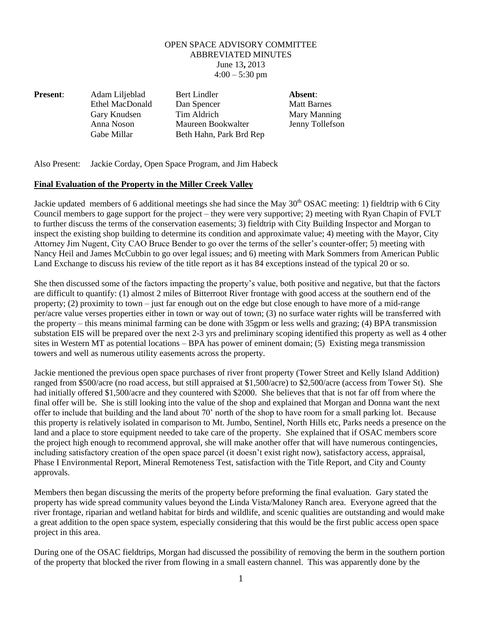## OPEN SPACE ADVISORY COMMITTEE ABBREVIATED MINUTES June 13**,** 2013  $4:00 - 5:30$  pm

**Present**: Adam Liljeblad Bert Lindler **Absent**: Ethel MacDonald Dan Spencer Matt Barnes Gary Knudsen Tim Aldrich Mary Manning Anna Noson Maureen Bookwalter Jenny Tollefson Gabe Millar Beth Hahn, Park Brd Rep

Also Present: Jackie Corday, Open Space Program, and Jim Habeck

## **Final Evaluation of the Property in the Miller Creek Valley**

Jackie updated members of 6 additional meetings she had since the May  $30<sup>th</sup>$  OSAC meeting: 1) fieldtrip with 6 City Council members to gage support for the project – they were very supportive; 2) meeting with Ryan Chapin of FVLT to further discuss the terms of the conservation easements; 3) fieldtrip with City Building Inspector and Morgan to inspect the existing shop building to determine its condition and approximate value; 4) meeting with the Mayor, City Attorney Jim Nugent, City CAO Bruce Bender to go over the terms of the seller's counter-offer; 5) meeting with Nancy Heil and James McCubbin to go over legal issues; and 6) meeting with Mark Sommers from American Public Land Exchange to discuss his review of the title report as it has 84 exceptions instead of the typical 20 or so.

She then discussed some of the factors impacting the property's value, both positive and negative, but that the factors are difficult to quantify: (1) almost 2 miles of Bitterroot River frontage with good access at the southern end of the property; (2) proximity to town – just far enough out on the edge but close enough to have more of a mid-range per/acre value verses properties either in town or way out of town; (3) no surface water rights will be transferred with the property – this means minimal farming can be done with 35gpm or less wells and grazing; (4) BPA transmission substation EIS will be prepared over the next 2-3 yrs and preliminary scoping identified this property as well as 4 other sites in Western MT as potential locations – BPA has power of eminent domain; (5) Existing mega transmission towers and well as numerous utility easements across the property.

Jackie mentioned the previous open space purchases of river front property (Tower Street and Kelly Island Addition) ranged from \$500/acre (no road access, but still appraised at \$1,500/acre) to \$2,500/acre (access from Tower St). She had initially offered \$1,500/acre and they countered with \$2000. She believes that that is not far off from where the final offer will be. She is still looking into the value of the shop and explained that Morgan and Donna want the next offer to include that building and the land about 70' north of the shop to have room for a small parking lot. Because this property is relatively isolated in comparison to Mt. Jumbo, Sentinel, North Hills etc, Parks needs a presence on the land and a place to store equipment needed to take care of the property. She explained that if OSAC members score the project high enough to recommend approval, she will make another offer that will have numerous contingencies, including satisfactory creation of the open space parcel (it doesn't exist right now), satisfactory access, appraisal, Phase I Environmental Report, Mineral Remoteness Test, satisfaction with the Title Report, and City and County approvals.

Members then began discussing the merits of the property before preforming the final evaluation. Gary stated the property has wide spread community values beyond the Linda Vista/Maloney Ranch area. Everyone agreed that the river frontage, riparian and wetland habitat for birds and wildlife, and scenic qualities are outstanding and would make a great addition to the open space system, especially considering that this would be the first public access open space project in this area.

During one of the OSAC fieldtrips, Morgan had discussed the possibility of removing the berm in the southern portion of the property that blocked the river from flowing in a small eastern channel. This was apparently done by the